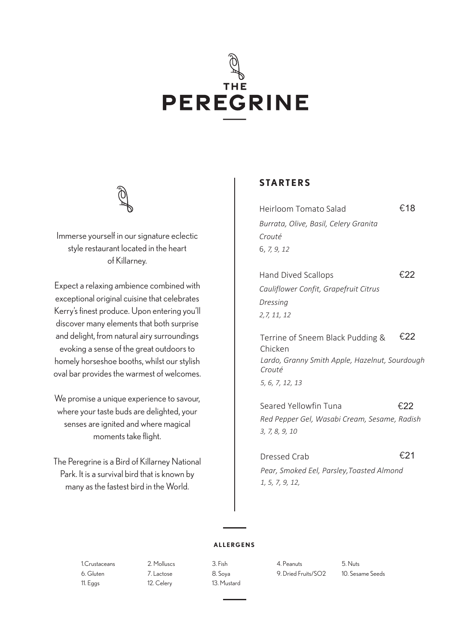# THE **PEREGRINE**



Immerse yourself in our signature eclectic style restaurant located in the heart of Killarney.

Expect a relaxing ambience combined with exceptional original cuisine that celebrates Kerry's finest produce. Upon entering you'll discover many elements that both surprise and delight, from natural airy surroundings evoking a sense of the great outdoors to homely horseshoe booths, whilst our stylish oval bar provides the warmest of welcomes.

We promise a unique experience to savour, where your taste buds are delighted, your senses are ignited and where magical moments take flight.

The Peregrine is a Bird of Killarney National Park. It is a survival bird that is known by many as the fastest bird in the World.

## **STARTERS**

| Heirloom Tomato Salad                 | €18 |
|---------------------------------------|-----|
| Burrata, Olive, Basil, Celery Granita |     |
| Crouté                                |     |
| 6, 7, 9, 12                           |     |
|                                       |     |

€22 Hand Dived Scallops *Cauliflower Confit, Grapefruit Citrus Dressing 2,7, 11, 12*

Terrine of Sneem Black Pudding & Chicken €22 *Lardo, Granny Smith Apple, Hazelnut, Sourdough Crouté 5, 6, 7, 12, 13*

Seared Yellowfin Tuna <del>€22</del> *Red Pepper Gel, Wasabi Cream, Sesame, Radish 3, 7, 8, 9, 10*

Dressed Crab **€21** *Pear, Smoked Eel, Parsley,Toasted Almond 1, 5, 7, 9, 12,* 

#### **ALLERGENS**

11. Eggs 12. Celery 13. Mustard

1.Crustaceans 2. Molluscs 3. Fish 4. Peanuts 5. Nuts 6. Gluten 7. Lactose 8. Soya 9. Dried Fruits/SO2 10. Sesame Seeds